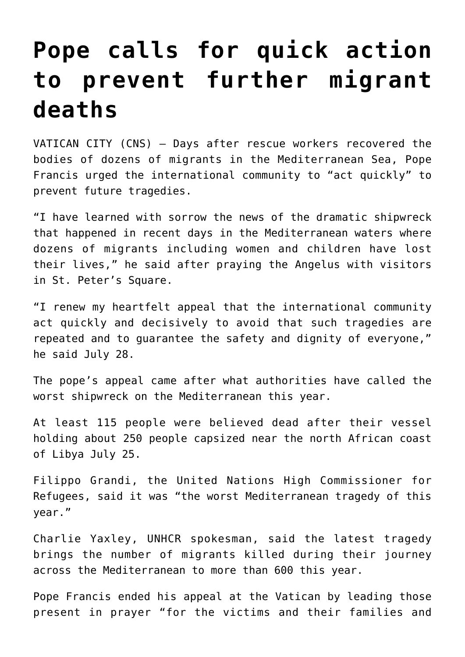## **[Pope calls for quick action](https://www.osvnews.com/2019/07/29/pope-calls-for-quick-action-to-prevent-further-migrant-deaths/) [to prevent further migrant](https://www.osvnews.com/2019/07/29/pope-calls-for-quick-action-to-prevent-further-migrant-deaths/) [deaths](https://www.osvnews.com/2019/07/29/pope-calls-for-quick-action-to-prevent-further-migrant-deaths/)**

VATICAN CITY (CNS) — Days after rescue workers recovered the bodies of dozens of migrants in the Mediterranean Sea, Pope Francis urged the international community to "act quickly" to prevent future tragedies.

"I have learned with sorrow the news of the dramatic shipwreck that happened in recent days in the Mediterranean waters where dozens of migrants including women and children have lost their lives," he said after praying the Angelus with visitors in St. Peter's Square.

"I renew my heartfelt appeal that the international community act quickly and decisively to avoid that such tragedies are repeated and to guarantee the safety and dignity of everyone," he said July 28.

The pope's appeal came after what authorities have called the worst shipwreck on the Mediterranean this year.

At least 115 people were believed dead after their vessel holding about 250 people capsized near the north African coast of Libya July 25.

Filippo Grandi, the United Nations High Commissioner for Refugees, said it was "the worst Mediterranean tragedy of this year."

Charlie Yaxley, UNHCR spokesman, said the latest tragedy brings the number of migrants killed during their journey across the Mediterranean to more than 600 this year.

Pope Francis ended his appeal at the Vatican by leading those present in prayer "for the victims and their families and